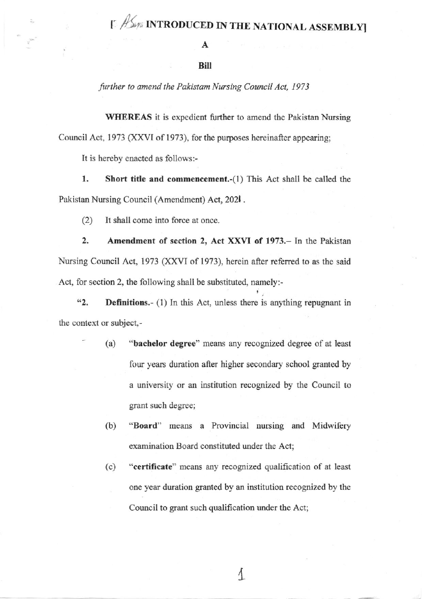## [ / / INTRODUCED IN THE NATIONAL ASSEMBLY]

## **Bill**

further to amend the Pakistam Nursing Council Act, 1973

**WHEREAS** it is expedient further to amend the Pakistan Nursing Council Act, 1973 (XXVI of 1973), for the purposes hereinafter appearing;

It is hereby enacted as follows:-

1. Short title and commencement.-(1) This Act shall be called the Pakistan Nursing Council (Amendment) Act, 2021.

 $(2)$ It shall come into force at once.

 $2.$ Amendment of section 2, Act XXVI of 1973. - In the Pakistan Nursing Council Act, 1973 (XXVI of 1973), herein after referred to as the said Act, for section 2, the following shall be substituted, namely:-

 $42.$ **Definitions.** (1) In this Act, unless there is anything repugnant in the context or subject,-

- "bachelor degree" means any recognized degree of at least  $(a)$ four years duration after higher secondary school granted by a university or an institution recognized by the Council to grant such degree;
- $(b)$ "Board" means a Provincial nursing and Midwifery examination Board constituted under the Act;
- "certificate" means any recognized qualification of at least  $(c)$ one year duration granted by an institution recognized by the Council to grant such qualification under the Act;

1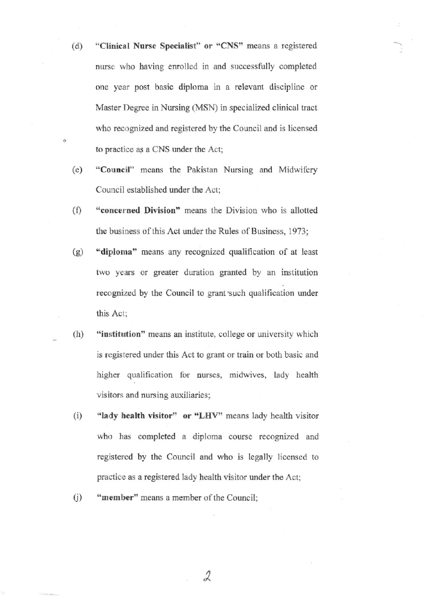- (d) "Clinical Nurse Specialist" or "CNS" means a registered nurse who having enrolled in and successfully completed one year post basic diploma in a relevant discipline or Master Degree in Nursing (MSN) in specialized clinical tract who recognized and registered by the Council and is licensed to practice as a CNS under the Act;
- (e) "Council" means tbe Pakistan Nursing and Midwifery Council established under the Act;
- (f) "concerned Division" means the Division who is allotted the business of this Act under the Rules of Business, 1973;
- (g) 'diploma" means any recognized qualification of at least two years or greater duration granted by an institution recognized by the Council to grant'such qualification under this Acl;
- $(h)$  "institution" means an institute, college or university which is registered under this Act to grant or train or both basic and higher qualification for nurses, midwives, lady health visitors and nursing auxiliaries.
- (i)  $"$ lady health visitor" or "LHV" means lady health visitor who has completed a diploma course recognized and registered by the Council and who is legally licensed to practice as a registered lady health visitor under the Act;

2

(j) "member" means a member of the Council;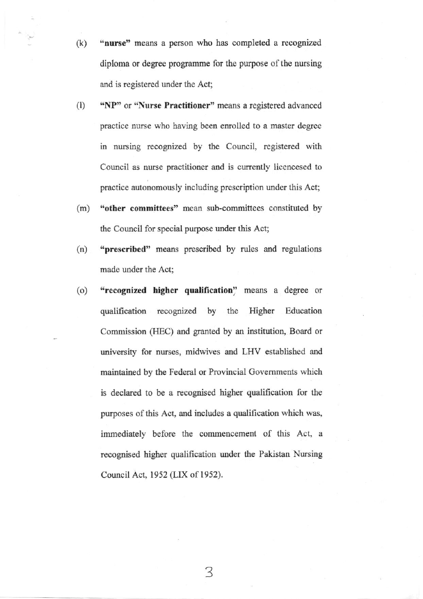- (k) "nurse" means a person who has completed a recognized diploma or degree progamme for the purpose of the nursing and is registered under the Act;
- (1) "NP" or "Nurse Practitioner" means a registered advanced practice nurse who having been enrolled to a master degree in nursing rccognized by the Council, registered with Council as nurse practitioner and is currently licencesed to practice autonomously including prescripion under this Act;
- (m) "other committees' mean sub-committees constituted by the Council for special purpose under this Act;
- (n) "prescribed" means prescribed by rules and regulations made under the Act;
- (o) "recognized higher qualification" means a degree or qualification recognized by the Higher Education Commission (HEC) and granted by an institution, Board or university for nurses, midwives and LHV established and maintained by tbe Federal or Provincial Govemments which is declared to be a recognised higher qualification for the purposes of this Act, and includes a qualification which was, immediately before the commencement of this Act, <sup>a</sup> recognised higher qualification under the Pakistan Nursing Council Act, 1952 (LIX of 1952).

3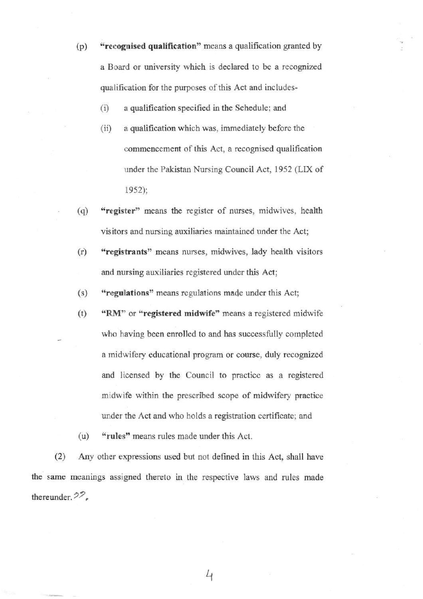- (p) "recognised qualification" means a qualification granted by a Board or university which is declared to be a recognized qualification for the purposes of this Act and includes-
	- $(i)$  a qualification specified in the Schedule; and
	- $(ii)$  a qualification which was, immediately before the commencement of this Act, a recognised qualification under the Pakistan Nursing Council Act, 1952 (LIX of 1952);
- (q) "register" means the register of nurses, midwives, health visitors and nursing auxiliaries maintained under the Act;
- (r) "registrants" means nurses, midwives, lady health visitors and nursing auxiliaries registered under this Act;

 $(s)$  "regulations" means regulations made under this Act;

- (t)  $\text{``RM''}$  or "registered midwife" means a registered midwife who having been enrolled to and has successfully completed a midwifery educational program or course, duly recognized and licensed by the Council to practice as a registered midwife within the prescribed scope of midwifery practice under the Act and who holds a registration certificate; and
- (u) "rules" means rules made under this Act.

(2) Any other expressions used but not defined in this Act, shall have the same meanings assigned thereto in the respective laws and rules made thereunder. $22$ ,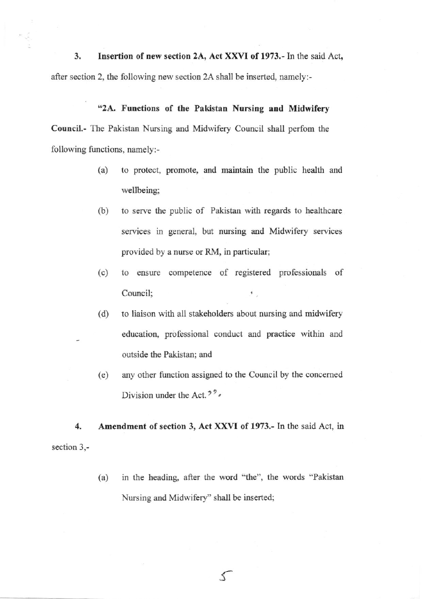3. Insertion of new section 2A, Act XXVI of 1973,- In the said Act, after section 2, the following new section 2A shall be inserted, namely:-

ś

## "2A. Functions of the Pakistan Nursing and Midwifery

Council.- Thc Pakistar Nursing and Midwifery Council shall perfom the following functions, namely:-

- (a) to protect, promote, and maintain the public health and wetlbeing;
- (b) to serve the public of Pakistan with regards to healthcare services in general, but nursing and Midwifery services provided by a nurse or RM, in particular;
- (c) to ensure competence of registered professionals of Council;  $^{\ast}$ .
- (d) to liaison with all stakeholders about nursing and midwifery education, professional conduct and practice within and outside the Pakistan; and
- (e) any other function assigned to the Council by the concemed Division under the Act.<sup> $2^2$ </sup>

4. Amendment of section 3, Act XXVI of 1973.- In the said Act, in section 3,-

> (a) in the heading, after the word "the", the words "Pakistan Nursing and Midwifery" shall be inserted;

> > f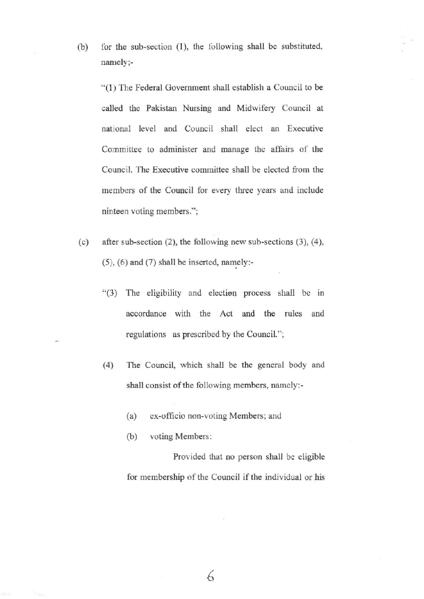for the sub-section (1), the following shall be substituted,  $(b)$ namely;-

"(1) The Federal Government shall establish a Council to be called the Pakistan Nursing and Midwifery Council at national level and Council shall elect an Executive Committee to administer and manage the affairs of the Council. The Executive committee shall be elected from the members of the Council for every three years and include ninteen voting members.";

- $(c)$ after sub-section  $(2)$ , the following new sub-sections  $(3)$ ,  $(4)$ ,  $(5)$ ,  $(6)$  and  $(7)$  shall be inserted, namely:-
	- "(3) The eligibility and election process shall be in accordance with the Act and the rules and regulations as prescribed by the Council.";
	- The Council, which shall be the general body and  $(4)$ shall consist of the following members, namely:
		- ex-officio non-voting Members; and  $(a)$
		- $(b)$ voting Members:

Provided that no person shall be eligible for membership of the Council if the individual or his

6